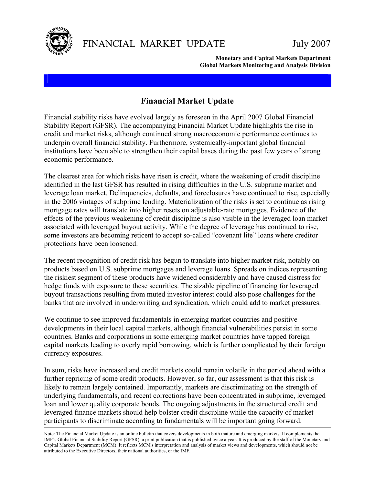

 **Monetary and Capital Markets Department Global Markets Monitoring and Analysis Division** 

### **Financial Market Update**

Financial stability risks have evolved largely as foreseen in the April 2007 Global Financial Stability Report (GFSR). The accompanying Financial Market Update highlights the rise in credit and market risks, although continued strong macroeconomic performance continues to underpin overall financial stability. Furthermore, systemically-important global financial institutions have been able to strengthen their capital bases during the past few years of strong economic performance.

The clearest area for which risks have risen is credit, where the weakening of credit discipline identified in the last GFSR has resulted in rising difficulties in the U.S. subprime market and leverage loan market. Delinquencies, defaults, and foreclosures have continued to rise, especially in the 2006 vintages of subprime lending. Materialization of the risks is set to continue as rising mortgage rates will translate into higher resets on adjustable-rate mortgages. Evidence of the effects of the previous weakening of credit discipline is also visible in the leveraged loan market associated with leveraged buyout activity. While the degree of leverage has continued to rise, some investors are becoming reticent to accept so-called "covenant lite" loans where creditor protections have been loosened.

The recent recognition of credit risk has begun to translate into higher market risk, notably on products based on U.S. subprime mortgages and leverage loans. Spreads on indices representing the riskiest segment of these products have widened considerably and have caused distress for hedge funds with exposure to these securities. The sizable pipeline of financing for leveraged buyout transactions resulting from muted investor interest could also pose challenges for the banks that are involved in underwriting and syndication, which could add to market pressures.

We continue to see improved fundamentals in emerging market countries and positive developments in their local capital markets, although financial vulnerabilities persist in some countries. Banks and corporations in some emerging market countries have tapped foreign capital markets leading to overly rapid borrowing, which is further complicated by their foreign currency exposures.

In sum, risks have increased and credit markets could remain volatile in the period ahead with a further repricing of some credit products. However, so far, our assessment is that this risk is likely to remain largely contained. Importantly, markets are discriminating on the strength of underlying fundamentals, and recent corrections have been concentrated in subprime, leveraged loan and lower quality corporate bonds. The ongoing adjustments in the structured credit and leveraged finance markets should help bolster credit discipline while the capacity of market participants to discriminate according to fundamentals will be important going forward.

Note: The Financial Market Update is an online bulletin that covers developments in both mature and emerging markets. It complements the IMF's Global Financial Stability Report (GFSR), a print publication that is published twice a year. It is produced by the staff of the Monetary and Capital Markets Department (MCM). It reflects MCM's interpretation and analysis of market views and developments, which should not be attributed to the Executive Directors, their national authorities, or the IMF.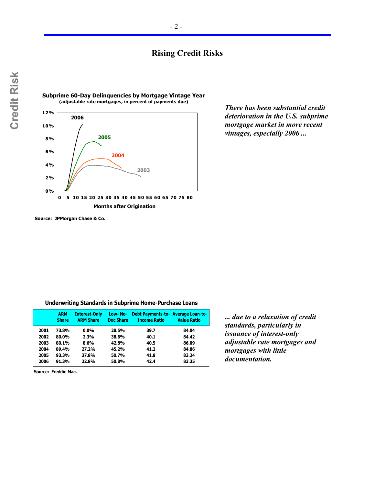### **Rising Credit Risks**



*There has been substantial credit deterioration in the U.S. subprime mortgage market in more recent vintages, especially 2006 ...* 

**Source: JPMorgan Chase & Co.**

**Underwriting Standards in Subprime Home-Purchase Loans**

|      | <b>ARM</b><br><b>Share</b> | <b>Interest-Only</b><br><b>ARM Share</b> | Low-No-<br><b>Doc Share</b> | Debt Payments-to- Average Loan-to-<br><b>Income Ratio</b> | <b>Value Ratio</b> |
|------|----------------------------|------------------------------------------|-----------------------------|-----------------------------------------------------------|--------------------|
| 2001 | 73.8%                      | $0.0\%$                                  | 28.5%                       | 39.7                                                      | 84.04              |
| 2002 | 80.0%                      | 2.3%                                     | 38.6%                       | 40.1                                                      | 84.42              |
| 2003 | 80.1%                      | $8.6\%$                                  | 42.8%                       | 40.5                                                      | 86.09              |
| 2004 | 89.4%                      | 27.2%                                    | 45.2%                       | 41.2                                                      | 84.86              |
| 2005 | 93.3%                      | 37.8%                                    | 50.7%                       | 41.8                                                      | 83.24              |
| 2006 | 91.3%                      | 22.8%                                    | 50.8%                       | 42.4                                                      | 83.35              |

*... due to a relaxation of credit standards, particularly in issuance of interest-only adjustable rate mortgages and mortgages with little documentation.* 

**Source: Freddie Mac.**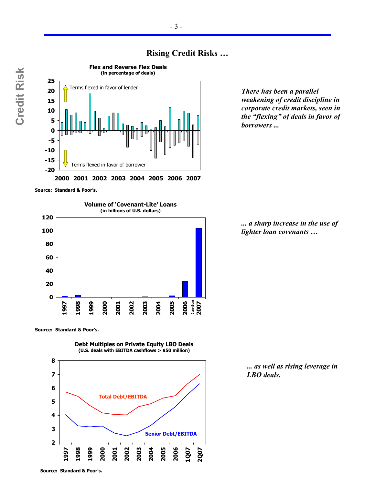

# **Rising Credit Risks …**

*There has been a parallel weakening of credit discipline in corporate credit markets, seen in the "flexing" of deals in favor of borrowers ...* 

**Source: Standard & Poor's.**



**Source: Standard & Poor's.**

**Debt Multiples on Private Equity LBO Deals (U.S. deals with EBITDA cashflows > \$50 million)**



*... a sharp increase in the use of lighter loan covenants …* 

*... as well as rising leverage in LBO deals.*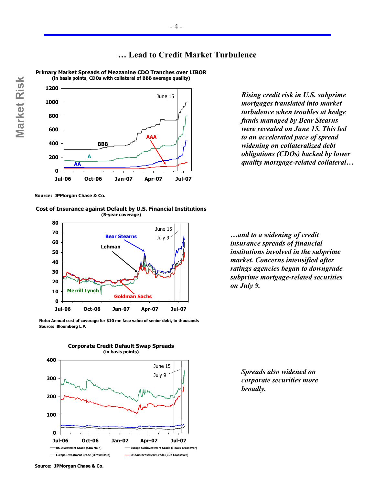



**Primary Market Spreads of Mezzanine CDO Tranches over LIBOR**

*Rising credit risk in U.S. subprime mortgages translated into market turbulence when troubles at hedge funds managed by Bear Stearns were revealed on June 15. This led to an accelerated pace of spread widening on collateralized debt obligations (CDOs) backed by lower quality mortgage-related collateral…* 

**Source: JPMorgan Chase & Co.**

**Market Risk**

Market Risk





**Source: Bloomberg L.P. Note: Annual cost of coverage for \$10 mn face value of senior debt, in thousands** *…and to a widening of credit insurance spreads of financial institutions involved in the subprime market. Concerns intensified after ratings agencies began to downgrade subprime mortgage-related securities on July 9.* 



**Jul-06 Oct-06 Jan-07 Apr-07 Jul-07 US Investment Grade (CDX Main) Europe Subinvestment Grade (iTraxx Crossover) Europe Investment Grade (iTraxx Main) US Subinvestment Grade (CDX Crossover)**

**Corporate Credit Default Swap Spreads**



**0**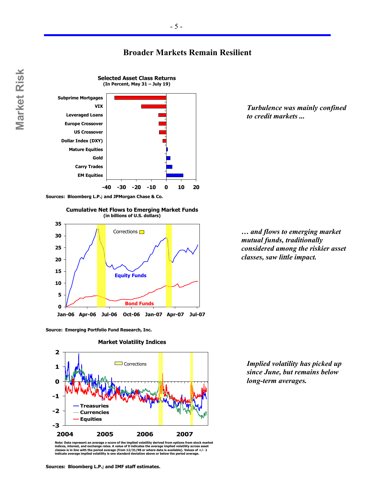#### **Broader Markets Remain Resilient**



 $-5 -$ 

**Sources: Bloomberg L.P.; and JPMorgan Chase & Co.**

**Cumulative Net Flows to Emerging Market Funds (in billions of U.S. dollars)**



**Source: Emerging Portfolio Fund Research, Inc.**



**Market Volatility Indices**

Note: Data represent an average z-score of the implied volatility derived from options from stock market<br>indices, interest, and exchange rates. A value of 0 indicates the average implied volatility across asset<br>classes is

*Turbulence was mainly confined to credit markets ...* 

*… and flows to emerging market mutual funds, traditionally considered among the riskier asset classes, saw little impact.* 

*Implied volatility has picked up since June, but remains below long-term averages.*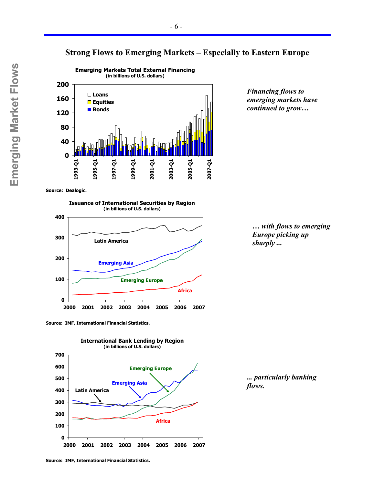#### **Strong Flows to Emerging Markets – Especially to Eastern Europe**



*Financing flows to emerging markets have continued to grow…* 

**Source: Dealogic.**

**Issuance of International Securities by Region (in billions of U.S. dollars)**



**Source: IMF, International Financial Statistics.**



*… with flows to emerging Europe picking up sharply ...* 

*... particularly banking flows.*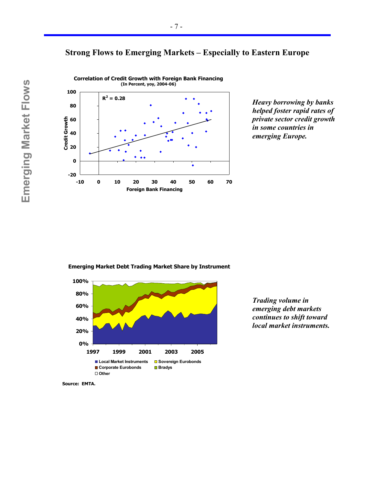



*Heavy borrowing by banks helped foster rapid rates of private sector credit growth in some countries in emerging Europe.* 

**Emerging Market Debt Trading Market Share by Instrument**



*Trading volume in emerging debt markets continues to shift toward local market instruments.* 

**Source: EMTA.**